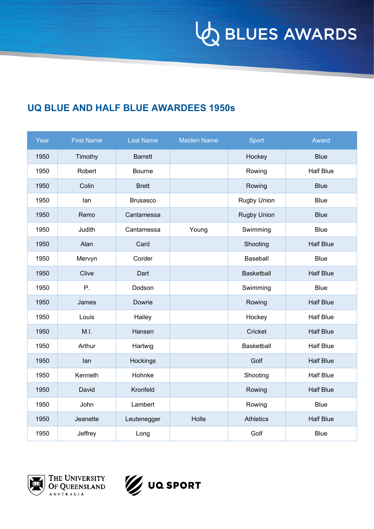**VO BLUES AWARDS** 

## **UQ BLUE AND HALF BLUE AWARDEES 1950s**

| Year | <b>First Name</b> | <b>Last Name</b> | <b>Maiden Name</b> | Sport              | Award            |
|------|-------------------|------------------|--------------------|--------------------|------------------|
| 1950 | Timothy           | <b>Barrett</b>   |                    | Hockey             | <b>Blue</b>      |
| 1950 | Robert            | <b>Bourne</b>    |                    | Rowing             | <b>Half Blue</b> |
| 1950 | Colin             | <b>Brett</b>     |                    | Rowing             | <b>Blue</b>      |
| 1950 | lan               | <b>Brusasco</b>  |                    | Rugby Union        | <b>Blue</b>      |
| 1950 | Remo              | Cantamessa       |                    | <b>Rugby Union</b> | <b>Blue</b>      |
| 1950 | Judith            | Cantamessa       | Young              | Swimming           | <b>Blue</b>      |
| 1950 | Alan              | Card             |                    | Shooting           | <b>Half Blue</b> |
| 1950 | Mervyn            | Corder           |                    | Baseball           | <b>Blue</b>      |
| 1950 | Clive             | Dart             |                    | <b>Basketball</b>  | <b>Half Blue</b> |
| 1950 | P.                | Dodson           |                    | Swimming           | <b>Blue</b>      |
| 1950 | James             | Dowrie           |                    | Rowing             | <b>Half Blue</b> |
| 1950 | Louis             | Hailey           |                    | Hockey             | <b>Half Blue</b> |
| 1950 | M.I.              | Hansen           |                    | Cricket            | <b>Half Blue</b> |
| 1950 | Arthur            | Hartwig          |                    | Basketball         | <b>Half Blue</b> |
| 1950 | lan               | Hockings         |                    | Golf               | <b>Half Blue</b> |
| 1950 | Kenneth           | Hohnke           |                    | Shooting           | <b>Half Blue</b> |
| 1950 | David             | Kronfeld         |                    | Rowing             | <b>Half Blue</b> |
| 1950 | John              | Lambert          |                    | Rowing             | <b>Blue</b>      |
| 1950 | Jeanette          | Leutenegger      | Holle              | <b>Athletics</b>   | <b>Half Blue</b> |
| 1950 | Jeffrey           | Long             |                    | Golf               | <b>Blue</b>      |



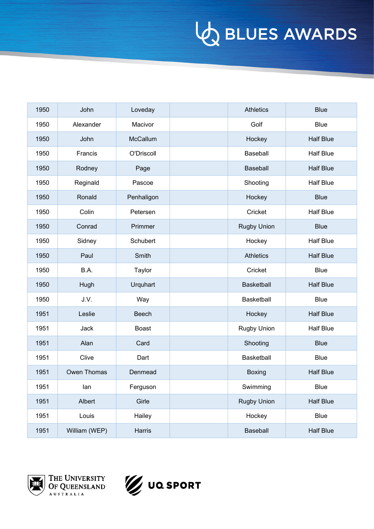| 1950 | John          | Loveday         | <b>Athletics</b>   | <b>Blue</b>      |
|------|---------------|-----------------|--------------------|------------------|
| 1950 | Alexander     | Macivor         | Golf               | <b>Blue</b>      |
| 1950 | John          | McCallum        | Hockey             | <b>Half Blue</b> |
| 1950 | Francis       | O'Driscoll      | Baseball           | <b>Half Blue</b> |
| 1950 | Rodney        | Page            | Baseball           | <b>Half Blue</b> |
| 1950 | Reginald      | Pascoe          | Shooting           | <b>Half Blue</b> |
| 1950 | Ronald        | Penhaligon      | Hockey             | <b>Blue</b>      |
| 1950 | Colin         | Petersen        | Cricket            | <b>Half Blue</b> |
| 1950 | Conrad        | Primmer         | <b>Rugby Union</b> | <b>Blue</b>      |
| 1950 | Sidney        | Schubert        | Hockey             | <b>Half Blue</b> |
| 1950 | Paul          | Smith           | <b>Athletics</b>   | <b>Half Blue</b> |
| 1950 | B.A.          | Taylor          | Cricket            | <b>Blue</b>      |
| 1950 | Hugh          | <b>Urquhart</b> | <b>Basketball</b>  | <b>Half Blue</b> |
| 1950 | J.V.          | Way             | Basketball         | <b>Blue</b>      |
| 1951 | Leslie        | Beech           | Hockey             | <b>Half Blue</b> |
| 1951 | Jack          | <b>Boast</b>    | Rugby Union        | <b>Half Blue</b> |
| 1951 | Alan          | Card            | Shooting           | <b>Blue</b>      |
| 1951 | Clive         | Dart            | Basketball         | Blue             |
| 1951 | Owen Thomas   | Denmead         | <b>Boxing</b>      | <b>Half Blue</b> |
| 1951 | lan           | Ferguson        | Swimming           | Blue             |
| 1951 | Albert        | Girle           | Rugby Union        | <b>Half Blue</b> |
| 1951 | Louis         | Hailey          | Hockey             | Blue             |
| 1951 | William (WEP) | Harris          | Baseball           | <b>Half Blue</b> |



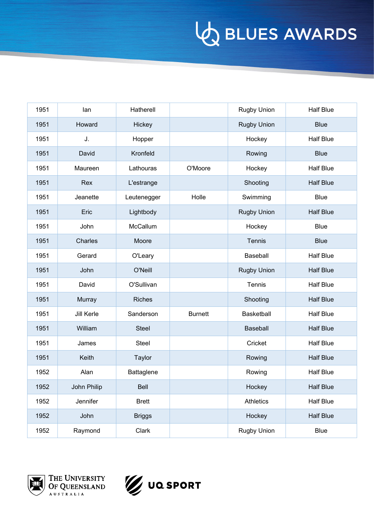| 1951 | lan         | Hatherell     |                | <b>Rugby Union</b> | <b>Half Blue</b> |
|------|-------------|---------------|----------------|--------------------|------------------|
| 1951 | Howard      | Hickey        |                | <b>Rugby Union</b> | <b>Blue</b>      |
| 1951 | J.          | Hopper        |                | Hockey             | <b>Half Blue</b> |
| 1951 | David       | Kronfeld      |                | Rowing             | <b>Blue</b>      |
| 1951 | Maureen     | Lathouras     | O'Moore        | Hockey             | <b>Half Blue</b> |
| 1951 | Rex         | L'estrange    |                | Shooting           | <b>Half Blue</b> |
| 1951 | Jeanette    | Leutenegger   | Holle          | Swimming           | <b>Blue</b>      |
| 1951 | Eric        | Lightbody     |                | <b>Rugby Union</b> | <b>Half Blue</b> |
| 1951 | John        | McCallum      |                | Hockey             | <b>Blue</b>      |
| 1951 | Charles     | Moore         |                | Tennis             | <b>Blue</b>      |
| 1951 | Gerard      | O'Leary       |                | Baseball           | <b>Half Blue</b> |
| 1951 | John        | O'Neill       |                | <b>Rugby Union</b> | <b>Half Blue</b> |
| 1951 | David       | O'Sullivan    |                | Tennis             | <b>Half Blue</b> |
| 1951 | Murray      | <b>Riches</b> |                | Shooting           | <b>Half Blue</b> |
| 1951 | Jill Kerle  | Sanderson     | <b>Burnett</b> | Basketball         | <b>Half Blue</b> |
| 1951 | William     | <b>Steel</b>  |                | Baseball           | <b>Half Blue</b> |
| 1951 | James       | Steel         |                | Cricket            | <b>Half Blue</b> |
| 1951 | Keith       | Taylor        |                | Rowing             | <b>Half Blue</b> |
| 1952 | Alan        | Battaglene    |                | Rowing             | <b>Half Blue</b> |
| 1952 | John Philip | Bell          |                | Hockey             | <b>Half Blue</b> |
| 1952 | Jennifer    | <b>Brett</b>  |                | Athletics          | <b>Half Blue</b> |
| 1952 | John        | <b>Briggs</b> |                | Hockey             | <b>Half Blue</b> |
| 1952 | Raymond     | Clark         |                | Rugby Union        | Blue             |



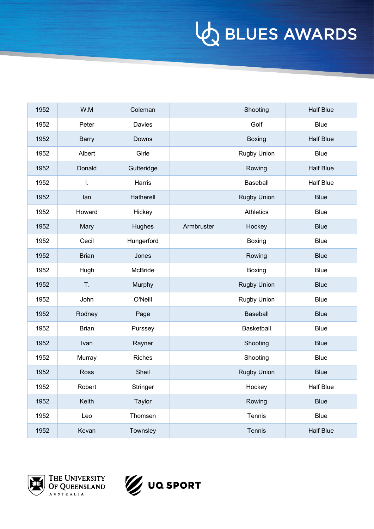| 1952 | W.M          | Coleman    |            | Shooting           | <b>Half Blue</b> |
|------|--------------|------------|------------|--------------------|------------------|
| 1952 | Peter        | Davies     |            | Golf               | <b>Blue</b>      |
| 1952 | <b>Barry</b> | Downs      |            | <b>Boxing</b>      | <b>Half Blue</b> |
| 1952 | Albert       | Girle      |            | Rugby Union        | <b>Blue</b>      |
| 1952 | Donald       | Gutteridge |            | Rowing             | <b>Half Blue</b> |
| 1952 | I.           | Harris     |            | Baseball           | <b>Half Blue</b> |
| 1952 | lan          | Hatherell  |            | <b>Rugby Union</b> | <b>Blue</b>      |
| 1952 | Howard       | Hickey     |            | Athletics          | <b>Blue</b>      |
| 1952 | Mary         | Hughes     | Armbruster | Hockey             | <b>Blue</b>      |
| 1952 | Cecil        | Hungerford |            | <b>Boxing</b>      | <b>Blue</b>      |
| 1952 | <b>Brian</b> | Jones      |            | Rowing             | <b>Blue</b>      |
| 1952 | Hugh         | McBride    |            | Boxing             | <b>Blue</b>      |
| 1952 | T.           | Murphy     |            | <b>Rugby Union</b> | <b>Blue</b>      |
| 1952 | John         | O'Neill    |            | Rugby Union        | <b>Blue</b>      |
| 1952 | Rodney       | Page       |            | Baseball           | <b>Blue</b>      |
| 1952 | <b>Brian</b> | Purssey    |            | Basketball         | <b>Blue</b>      |
| 1952 | Ivan         | Rayner     |            | Shooting           | <b>Blue</b>      |
| 1952 | Murray       | Riches     |            | Shooting           | <b>Blue</b>      |
| 1952 | Ross         | Sheil      |            | <b>Rugby Union</b> | <b>Blue</b>      |
| 1952 | Robert       | Stringer   |            | Hockey             | <b>Half Blue</b> |
| 1952 | Keith        | Taylor     |            | Rowing             | <b>Blue</b>      |
| 1952 | Leo          | Thomsen    |            | Tennis             | Blue             |
| 1952 | Kevan        | Townsley   |            | Tennis             | <b>Half Blue</b> |



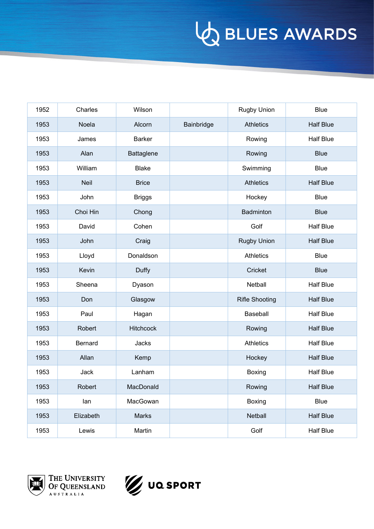| 1952 | Charles     | Wilson           |            | <b>Rugby Union</b>    | <b>Blue</b>      |
|------|-------------|------------------|------------|-----------------------|------------------|
| 1953 | Noela       | Alcorn           | Bainbridge | <b>Athletics</b>      | <b>Half Blue</b> |
| 1953 | James       | <b>Barker</b>    |            | Rowing                | <b>Half Blue</b> |
| 1953 | Alan        | Battaglene       |            | Rowing                | <b>Blue</b>      |
| 1953 | William     | <b>Blake</b>     |            | Swimming              | <b>Blue</b>      |
| 1953 | <b>Neil</b> | <b>Brice</b>     |            | <b>Athletics</b>      | <b>Half Blue</b> |
| 1953 | John        | <b>Briggs</b>    |            | Hockey                | <b>Blue</b>      |
| 1953 | Choi Hin    | Chong            |            | Badminton             | <b>Blue</b>      |
| 1953 | David       | Cohen            |            | Golf                  | <b>Half Blue</b> |
| 1953 | John        | Craig            |            | <b>Rugby Union</b>    | <b>Half Blue</b> |
| 1953 | Lloyd       | Donaldson        |            | <b>Athletics</b>      | <b>Blue</b>      |
| 1953 | Kevin       | Duffy            |            | Cricket               | <b>Blue</b>      |
| 1953 | Sheena      | Dyason           |            | Netball               | <b>Half Blue</b> |
| 1953 | Don         | Glasgow          |            | <b>Rifle Shooting</b> | <b>Half Blue</b> |
| 1953 | Paul        | Hagan            |            | Baseball              | <b>Half Blue</b> |
| 1953 | Robert      | <b>Hitchcock</b> |            | Rowing                | <b>Half Blue</b> |
| 1953 | Bernard     | Jacks            |            | <b>Athletics</b>      | <b>Half Blue</b> |
| 1953 | Allan       | Kemp             |            | Hockey                | <b>Half Blue</b> |
| 1953 | Jack        | Lanham           |            | Boxing                | <b>Half Blue</b> |
| 1953 | Robert      | MacDonald        |            | Rowing                | <b>Half Blue</b> |
| 1953 | lan         | MacGowan         |            | Boxing                | Blue             |
| 1953 | Elizabeth   | Marks            |            | Netball               | <b>Half Blue</b> |
| 1953 | Lewis       | Martin           |            | Golf                  | <b>Half Blue</b> |



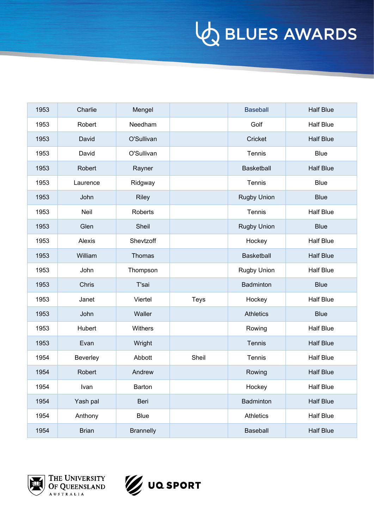| 1953 | Charlie      | Mengel           |             | <b>Baseball</b>    | <b>Half Blue</b> |
|------|--------------|------------------|-------------|--------------------|------------------|
| 1953 | Robert       | Needham          |             | Golf               | <b>Half Blue</b> |
| 1953 | David        | O'Sullivan       |             | Cricket            | <b>Half Blue</b> |
| 1953 | David        | O'Sullivan       |             | Tennis             | <b>Blue</b>      |
| 1953 | Robert       | Rayner           |             | Basketball         | <b>Half Blue</b> |
| 1953 | Laurence     | Ridgway          |             | Tennis             | <b>Blue</b>      |
| 1953 | John         | <b>Riley</b>     |             | <b>Rugby Union</b> | <b>Blue</b>      |
| 1953 | Neil         | <b>Roberts</b>   |             | Tennis             | <b>Half Blue</b> |
| 1953 | Glen         | Sheil            |             | <b>Rugby Union</b> | <b>Blue</b>      |
| 1953 | Alexis       | Shevtzoff        |             | Hockey             | <b>Half Blue</b> |
| 1953 | William      | Thomas           |             | Basketball         | <b>Half Blue</b> |
| 1953 | John         | Thompson         |             | <b>Rugby Union</b> | <b>Half Blue</b> |
| 1953 | Chris        | T'sai            |             | Badminton          | <b>Blue</b>      |
| 1953 | Janet        | Viertel          | <b>Teys</b> | Hockey             | <b>Half Blue</b> |
| 1953 | John         | Waller           |             | <b>Athletics</b>   | <b>Blue</b>      |
| 1953 | Hubert       | <b>Withers</b>   |             | Rowing             | <b>Half Blue</b> |
| 1953 | Evan         | Wright           |             | Tennis             | <b>Half Blue</b> |
| 1954 | Beverley     | Abbott           | Sheil       | Tennis             | <b>Half Blue</b> |
| 1954 | Robert       | Andrew           |             | Rowing             | <b>Half Blue</b> |
| 1954 | Ivan         | Barton           |             | Hockey             | <b>Half Blue</b> |
| 1954 | Yash pal     | Beri             |             | Badminton          | <b>Half Blue</b> |
| 1954 | Anthony      | <b>Blue</b>      |             | Athletics          | <b>Half Blue</b> |
| 1954 | <b>Brian</b> | <b>Brannelly</b> |             | Baseball           | <b>Half Blue</b> |



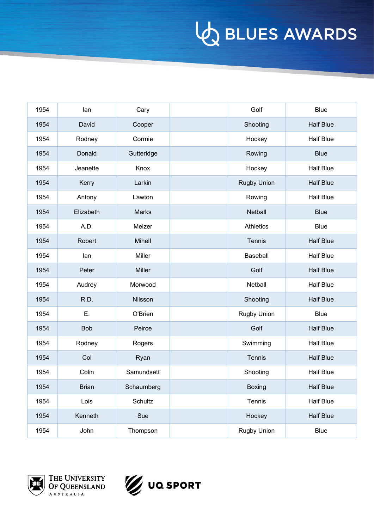| 1954 | lan          | Cary         | Golf               | <b>Blue</b>      |
|------|--------------|--------------|--------------------|------------------|
| 1954 | David        | Cooper       | Shooting           | <b>Half Blue</b> |
| 1954 | Rodney       | Cormie       | Hockey             | <b>Half Blue</b> |
| 1954 | Donald       | Gutteridge   | Rowing             | <b>Blue</b>      |
| 1954 | Jeanette     | Knox         | Hockey             | <b>Half Blue</b> |
| 1954 | Kerry        | Larkin       | <b>Rugby Union</b> | <b>Half Blue</b> |
| 1954 | Antony       | Lawton       | Rowing             | <b>Half Blue</b> |
| 1954 | Elizabeth    | <b>Marks</b> | Netball            | <b>Blue</b>      |
| 1954 | A.D.         | Melzer       | <b>Athletics</b>   | <b>Blue</b>      |
| 1954 | Robert       | Mihell       | Tennis             | <b>Half Blue</b> |
| 1954 | lan          | Miller       | Baseball           | <b>Half Blue</b> |
| 1954 | Peter        | Miller       | Golf               | <b>Half Blue</b> |
| 1954 | Audrey       | Morwood      | Netball            | <b>Half Blue</b> |
| 1954 | R.D.         | Nilsson      | Shooting           | <b>Half Blue</b> |
| 1954 | Ε.           | O'Brien      | Rugby Union        | <b>Blue</b>      |
| 1954 | <b>Bob</b>   | Peirce       | Golf               | <b>Half Blue</b> |
| 1954 | Rodney       | Rogers       | Swimming           | <b>Half Blue</b> |
| 1954 | Col          | Ryan         | Tennis             | <b>Half Blue</b> |
| 1954 | Colin        | Samundsett   | Shooting           | <b>Half Blue</b> |
| 1954 | <b>Brian</b> | Schaumberg   | <b>Boxing</b>      | <b>Half Blue</b> |
| 1954 | Lois         | Schultz      | Tennis             | <b>Half Blue</b> |
| 1954 | Kenneth      | Sue          | Hockey             | <b>Half Blue</b> |
| 1954 | John         | Thompson     | Rugby Union        | Blue             |



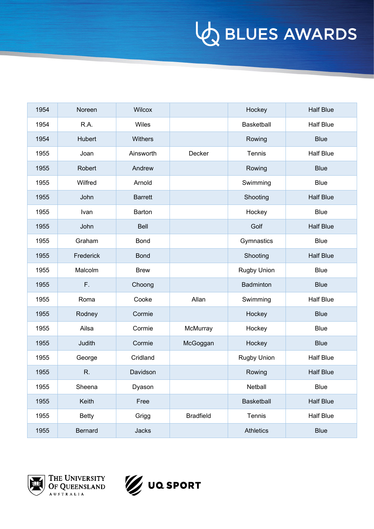| 1954 | Noreen       | Wilcox         |                  | Hockey           | <b>Half Blue</b> |
|------|--------------|----------------|------------------|------------------|------------------|
| 1954 | R.A.         | Wiles          |                  | Basketball       | <b>Half Blue</b> |
| 1954 | Hubert       | <b>Withers</b> |                  | Rowing           | <b>Blue</b>      |
| 1955 | Joan         | Ainsworth      | Decker           | Tennis           | <b>Half Blue</b> |
| 1955 | Robert       | Andrew         |                  | Rowing           | <b>Blue</b>      |
| 1955 | Wilfred      | Arnold         |                  | Swimming         | <b>Blue</b>      |
| 1955 | John         | <b>Barrett</b> |                  | Shooting         | <b>Half Blue</b> |
| 1955 | Ivan         | Barton         |                  | Hockey           | <b>Blue</b>      |
| 1955 | John         | Bell           |                  | Golf             | <b>Half Blue</b> |
| 1955 | Graham       | <b>Bond</b>    |                  | Gymnastics       | <b>Blue</b>      |
| 1955 | Frederick    | <b>Bond</b>    |                  | Shooting         | <b>Half Blue</b> |
| 1955 | Malcolm      | <b>Brew</b>    |                  | Rugby Union      | <b>Blue</b>      |
| 1955 | F.           | Choong         |                  | Badminton        | <b>Blue</b>      |
| 1955 | Roma         | Cooke          | Allan            | Swimming         | <b>Half Blue</b> |
| 1955 | Rodney       | Cormie         |                  | Hockey           | <b>Blue</b>      |
| 1955 | Ailsa        | Cormie         | McMurray         | Hockey           | <b>Blue</b>      |
| 1955 | Judith       | Cormie         | McGoggan         | Hockey           | <b>Blue</b>      |
| 1955 | George       | Cridland       |                  | Rugby Union      | <b>Half Blue</b> |
| 1955 | R.           | Davidson       |                  | Rowing           | <b>Half Blue</b> |
| 1955 | Sheena       | Dyason         |                  | Netball          | Blue             |
| 1955 | Keith        | Free           |                  | Basketball       | <b>Half Blue</b> |
| 1955 | <b>Betty</b> | Grigg          | <b>Bradfield</b> | Tennis           | <b>Half Blue</b> |
| 1955 | Bernard      | Jacks          |                  | <b>Athletics</b> | <b>Blue</b>      |



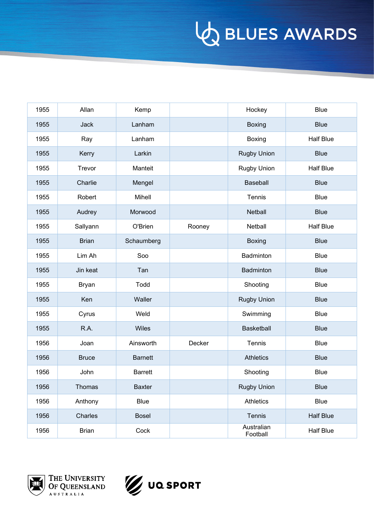| 1955 | Allan         | Kemp           |        | Hockey                 | <b>Blue</b>      |
|------|---------------|----------------|--------|------------------------|------------------|
| 1955 | Jack          | Lanham         |        | <b>Boxing</b>          | <b>Blue</b>      |
| 1955 | Ray           | Lanham         |        | Boxing                 | <b>Half Blue</b> |
| 1955 | Kerry         | Larkin         |        | <b>Rugby Union</b>     | <b>Blue</b>      |
| 1955 | Trevor        | Manteit        |        | <b>Rugby Union</b>     | <b>Half Blue</b> |
| 1955 | Charlie       | Mengel         |        | <b>Baseball</b>        | <b>Blue</b>      |
| 1955 | Robert        | Mihell         |        | Tennis                 | <b>Blue</b>      |
| 1955 | Audrey        | Morwood        |        | Netball                | <b>Blue</b>      |
| 1955 | Sallyann      | O'Brien        | Rooney | Netball                | <b>Half Blue</b> |
| 1955 | <b>Brian</b>  | Schaumberg     |        | <b>Boxing</b>          | <b>Blue</b>      |
| 1955 | Lim Ah        | Soo            |        | Badminton              | <b>Blue</b>      |
| 1955 | Jin keat      | Tan            |        | Badminton              | <b>Blue</b>      |
| 1955 | <b>Bryan</b>  | Todd           |        | Shooting               | <b>Blue</b>      |
| 1955 | Ken           | Waller         |        | <b>Rugby Union</b>     | <b>Blue</b>      |
| 1955 | Cyrus         | Weld           |        | Swimming               | <b>Blue</b>      |
| 1955 | R.A.          | Wiles          |        | Basketball             | <b>Blue</b>      |
| 1956 | Joan          | Ainsworth      | Decker | Tennis                 | <b>Blue</b>      |
| 1956 | <b>Bruce</b>  | <b>Barnett</b> |        | <b>Athletics</b>       | <b>Blue</b>      |
| 1956 | John          | <b>Barrett</b> |        | Shooting               | <b>Blue</b>      |
| 1956 | <b>Thomas</b> | <b>Baxter</b>  |        | <b>Rugby Union</b>     | <b>Blue</b>      |
| 1956 | Anthony       | <b>Blue</b>    |        | Athletics              | Blue             |
| 1956 | Charles       | <b>Bosel</b>   |        | Tennis                 | <b>Half Blue</b> |
| 1956 | <b>Brian</b>  | Cock           |        | Australian<br>Football | <b>Half Blue</b> |



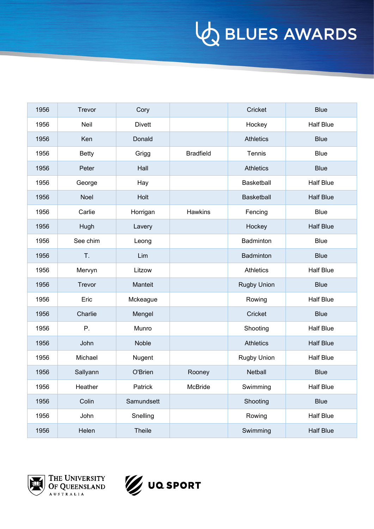| 1956 | Trevor       | Cory          |                  | Cricket            | <b>Blue</b>      |
|------|--------------|---------------|------------------|--------------------|------------------|
| 1956 | Neil         | <b>Divett</b> |                  | Hockey             | <b>Half Blue</b> |
| 1956 | Ken          | Donald        |                  | <b>Athletics</b>   | <b>Blue</b>      |
| 1956 | <b>Betty</b> | Grigg         | <b>Bradfield</b> | Tennis             | <b>Blue</b>      |
| 1956 | Peter        | Hall          |                  | <b>Athletics</b>   | <b>Blue</b>      |
| 1956 | George       | Hay           |                  | Basketball         | <b>Half Blue</b> |
| 1956 | Noel         | Holt          |                  | Basketball         | <b>Half Blue</b> |
| 1956 | Carlie       | Horrigan      | Hawkins          | Fencing            | <b>Blue</b>      |
| 1956 | Hugh         | Lavery        |                  | Hockey             | <b>Half Blue</b> |
| 1956 | See chim     | Leong         |                  | Badminton          | <b>Blue</b>      |
| 1956 | T.           | Lim           |                  | Badminton          | <b>Blue</b>      |
| 1956 | Mervyn       | Litzow        |                  | <b>Athletics</b>   | <b>Half Blue</b> |
| 1956 | Trevor       | Manteit       |                  | <b>Rugby Union</b> | <b>Blue</b>      |
| 1956 | Eric         | Mckeague      |                  | Rowing             | <b>Half Blue</b> |
| 1956 | Charlie      | Mengel        |                  | Cricket            | <b>Blue</b>      |
| 1956 | Ρ.           | Munro         |                  | Shooting           | <b>Half Blue</b> |
| 1956 | John         | <b>Noble</b>  |                  | <b>Athletics</b>   | <b>Half Blue</b> |
| 1956 | Michael      | Nugent        |                  | Rugby Union        | <b>Half Blue</b> |
| 1956 | Sallyann     | O'Brien       | Rooney           | Netball            | <b>Blue</b>      |
| 1956 | Heather      | Patrick       | McBride          | Swimming           | <b>Half Blue</b> |
| 1956 | Colin        | Samundsett    |                  | Shooting           | <b>Blue</b>      |
| 1956 | John         | Snelling      |                  | Rowing             | Half Blue        |
| 1956 | Helen        | <b>Theile</b> |                  | Swimming           | <b>Half Blue</b> |



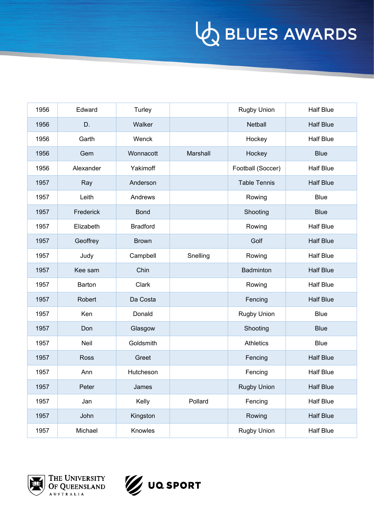| 1956 | Edward      | Turley          |          | <b>Rugby Union</b>  | <b>Half Blue</b> |
|------|-------------|-----------------|----------|---------------------|------------------|
| 1956 | D.          | Walker          |          | Netball             | <b>Half Blue</b> |
| 1956 | Garth       | Wenck           |          | Hockey              | <b>Half Blue</b> |
| 1956 | Gem         | Wonnacott       | Marshall | Hockey              | <b>Blue</b>      |
| 1956 | Alexander   | Yakimoff        |          | Football (Soccer)   | <b>Half Blue</b> |
| 1957 | Ray         | Anderson        |          | <b>Table Tennis</b> | <b>Half Blue</b> |
| 1957 | Leith       | Andrews         |          | Rowing              | <b>Blue</b>      |
| 1957 | Frederick   | <b>Bond</b>     |          | Shooting            | <b>Blue</b>      |
| 1957 | Elizabeth   | <b>Bradford</b> |          | Rowing              | <b>Half Blue</b> |
| 1957 | Geoffrey    | <b>Brown</b>    |          | Golf                | <b>Half Blue</b> |
| 1957 | Judy        | Campbell        | Snelling | Rowing              | <b>Half Blue</b> |
| 1957 | Kee sam     | Chin            |          | <b>Badminton</b>    | <b>Half Blue</b> |
| 1957 | Barton      | Clark           |          | Rowing              | <b>Half Blue</b> |
| 1957 | Robert      | Da Costa        |          | Fencing             | <b>Half Blue</b> |
| 1957 | Ken         | Donald          |          | Rugby Union         | <b>Blue</b>      |
| 1957 | Don         | Glasgow         |          | Shooting            | <b>Blue</b>      |
| 1957 | Neil        | Goldsmith       |          | <b>Athletics</b>    | <b>Blue</b>      |
| 1957 | <b>Ross</b> | Greet           |          | Fencing             | <b>Half Blue</b> |
| 1957 | Ann         | Hutcheson       |          | Fencing             | <b>Half Blue</b> |
| 1957 | Peter       | James           |          | <b>Rugby Union</b>  | <b>Half Blue</b> |
| 1957 | Jan         | Kelly           | Pollard  | Fencing             | <b>Half Blue</b> |
| 1957 | John        | Kingston        |          | Rowing              | <b>Half Blue</b> |
| 1957 | Michael     | Knowles         |          | <b>Rugby Union</b>  | <b>Half Blue</b> |



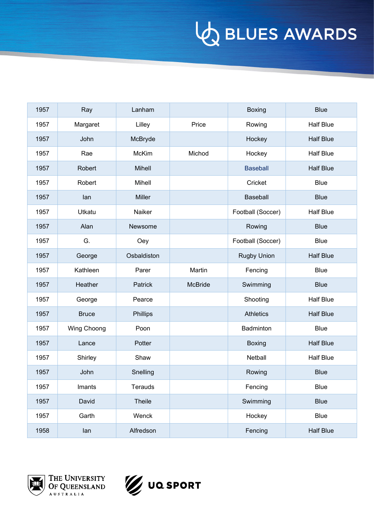| 1957 | Ray          | Lanham        |                | Boxing             | <b>Blue</b>      |
|------|--------------|---------------|----------------|--------------------|------------------|
| 1957 | Margaret     | Lilley        | Price          | Rowing             | <b>Half Blue</b> |
| 1957 | John         | McBryde       |                | Hockey             | <b>Half Blue</b> |
| 1957 | Rae          | <b>McKim</b>  | Michod         | Hockey             | <b>Half Blue</b> |
| 1957 | Robert       | Mihell        |                | <b>Baseball</b>    | <b>Half Blue</b> |
| 1957 | Robert       | Mihell        |                | Cricket            | <b>Blue</b>      |
| 1957 | lan          | <b>Miller</b> |                | Baseball           | <b>Blue</b>      |
| 1957 | Utkatu       | Naiker        |                | Football (Soccer)  | <b>Half Blue</b> |
| 1957 | Alan         | Newsome       |                | Rowing             | <b>Blue</b>      |
| 1957 | G.           | Oey           |                | Football (Soccer)  | <b>Blue</b>      |
| 1957 | George       | Osbaldiston   |                | <b>Rugby Union</b> | <b>Half Blue</b> |
| 1957 | Kathleen     | Parer         | Martin         | Fencing            | <b>Blue</b>      |
| 1957 | Heather      | Patrick       | <b>McBride</b> | Swimming           | <b>Blue</b>      |
| 1957 | George       | Pearce        |                | Shooting           | <b>Half Blue</b> |
| 1957 | <b>Bruce</b> | Phillips      |                | <b>Athletics</b>   | <b>Half Blue</b> |
| 1957 | Wing Choong  | Poon          |                | Badminton          | <b>Blue</b>      |
| 1957 | Lance        | Potter        |                | <b>Boxing</b>      | <b>Half Blue</b> |
| 1957 | Shirley      | Shaw          |                | Netball            | <b>Half Blue</b> |
| 1957 | John         | Snelling      |                | Rowing             | <b>Blue</b>      |
| 1957 | Imants       | Terauds       |                | Fencing            | <b>Blue</b>      |
| 1957 | David        | Theile        |                | Swimming           | <b>Blue</b>      |
| 1957 | Garth        | Wenck         |                | Hockey             | Blue             |
| 1958 | lan          | Alfredson     |                | Fencing            | <b>Half Blue</b> |



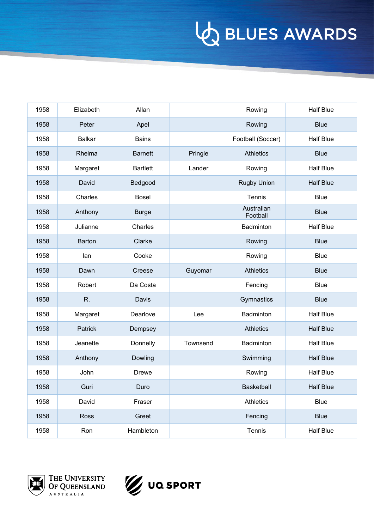| 1958 | Elizabeth     | Allan           |          | Rowing                 | <b>Half Blue</b> |
|------|---------------|-----------------|----------|------------------------|------------------|
| 1958 | Peter         | Apel            |          | Rowing                 | <b>Blue</b>      |
| 1958 | <b>Balkar</b> | <b>Bains</b>    |          | Football (Soccer)      | <b>Half Blue</b> |
| 1958 | Rhelma        | <b>Barnett</b>  | Pringle  | <b>Athletics</b>       | <b>Blue</b>      |
| 1958 | Margaret      | <b>Bartlett</b> | Lander   | Rowing                 | <b>Half Blue</b> |
| 1958 | David         | Bedgood         |          | <b>Rugby Union</b>     | <b>Half Blue</b> |
| 1958 | Charles       | <b>Bosel</b>    |          | Tennis                 | <b>Blue</b>      |
| 1958 | Anthony       | <b>Burge</b>    |          | Australian<br>Football | <b>Blue</b>      |
| 1958 | Julianne      | Charles         |          | Badminton              | <b>Half Blue</b> |
| 1958 | <b>Barton</b> | Clarke          |          | Rowing                 | <b>Blue</b>      |
| 1958 | lan           | Cooke           |          | Rowing                 | <b>Blue</b>      |
| 1958 | Dawn          | Creese          | Guyomar  | <b>Athletics</b>       | <b>Blue</b>      |
| 1958 | Robert        | Da Costa        |          | Fencing                | <b>Blue</b>      |
| 1958 | R.            | Davis           |          | Gymnastics             | <b>Blue</b>      |
| 1958 | Margaret      | Dearlove        | Lee      | Badminton              | <b>Half Blue</b> |
| 1958 | Patrick       | Dempsey         |          | <b>Athletics</b>       | <b>Half Blue</b> |
| 1958 | Jeanette      | Donnelly        | Townsend | Badminton              | <b>Half Blue</b> |
| 1958 | Anthony       | Dowling         |          | Swimming               | <b>Half Blue</b> |
| 1958 | John          | <b>Drewe</b>    |          | Rowing                 | <b>Half Blue</b> |
| 1958 | Guri          | Duro            |          | <b>Basketball</b>      | <b>Half Blue</b> |
| 1958 | David         | Fraser          |          | <b>Athletics</b>       | <b>Blue</b>      |
| 1958 | Ross          | Greet           |          | Fencing                | <b>Blue</b>      |
| 1958 | Ron           | Hambleton       |          | Tennis                 | Half Blue        |



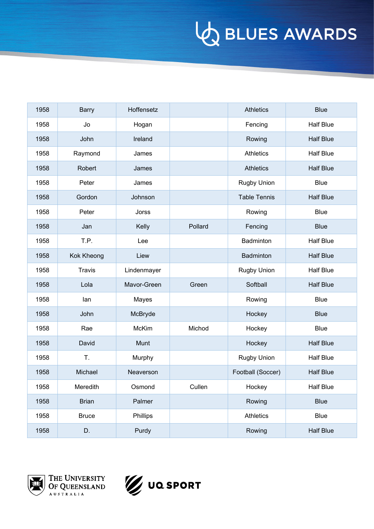| 1958 | <b>Barry</b>  | Hoffensetz  |         | <b>Athletics</b>    | <b>Blue</b>      |
|------|---------------|-------------|---------|---------------------|------------------|
| 1958 | Jo            | Hogan       |         | Fencing             | <b>Half Blue</b> |
| 1958 | John          | Ireland     |         | Rowing              | <b>Half Blue</b> |
| 1958 | Raymond       | James       |         | <b>Athletics</b>    | <b>Half Blue</b> |
| 1958 | Robert        | James       |         | <b>Athletics</b>    | <b>Half Blue</b> |
| 1958 | Peter         | James       |         | <b>Rugby Union</b>  | <b>Blue</b>      |
| 1958 | Gordon        | Johnson     |         | <b>Table Tennis</b> | <b>Half Blue</b> |
| 1958 | Peter         | Jorss       |         | Rowing              | <b>Blue</b>      |
| 1958 | Jan           | Kelly       | Pollard | Fencing             | <b>Blue</b>      |
| 1958 | T.P.          | Lee         |         | Badminton           | <b>Half Blue</b> |
| 1958 | Kok Kheong    | Liew        |         | Badminton           | <b>Half Blue</b> |
| 1958 | <b>Travis</b> | Lindenmayer |         | <b>Rugby Union</b>  | <b>Half Blue</b> |
| 1958 | Lola          | Mavor-Green | Green   | Softball            | <b>Half Blue</b> |
| 1958 | lan           | Mayes       |         | Rowing              | <b>Blue</b>      |
| 1958 | John          | McBryde     |         | Hockey              | <b>Blue</b>      |
| 1958 | Rae           | McKim       | Michod  | Hockey              | <b>Blue</b>      |
| 1958 | David         | Munt        |         | Hockey              | <b>Half Blue</b> |
| 1958 | Τ.            | Murphy      |         | Rugby Union         | <b>Half Blue</b> |
| 1958 | Michael       | Neaverson   |         | Football (Soccer)   | <b>Half Blue</b> |
| 1958 | Meredith      | Osmond      | Cullen  | Hockey              | Half Blue        |
| 1958 | <b>Brian</b>  | Palmer      |         | Rowing              | <b>Blue</b>      |
| 1958 | <b>Bruce</b>  | Phillips    |         | Athletics           | Blue             |
| 1958 | D.            | Purdy       |         | Rowing              | <b>Half Blue</b> |



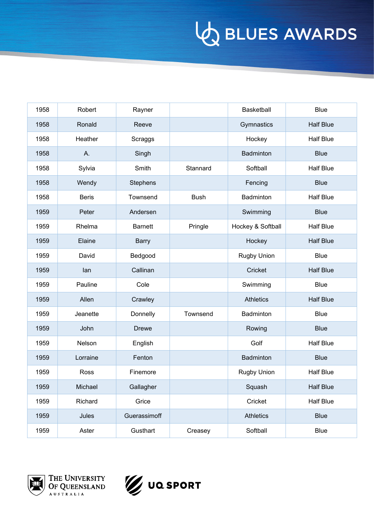| 1958 | Robert       | Rayner          |             | Basketball        | <b>Blue</b>      |
|------|--------------|-----------------|-------------|-------------------|------------------|
| 1958 | Ronald       | Reeve           |             | Gymnastics        | <b>Half Blue</b> |
| 1958 | Heather      | Scraggs         |             | Hockey            | <b>Half Blue</b> |
| 1958 | Α.           | Singh           |             | Badminton         | <b>Blue</b>      |
| 1958 | Sylvia       | Smith           | Stannard    | Softball          | <b>Half Blue</b> |
| 1958 | Wendy        | <b>Stephens</b> |             | Fencing           | <b>Blue</b>      |
| 1958 | <b>Beris</b> | Townsend        | <b>Bush</b> | Badminton         | <b>Half Blue</b> |
| 1959 | Peter        | Andersen        |             | Swimming          | <b>Blue</b>      |
| 1959 | Rhelma       | <b>Barnett</b>  | Pringle     | Hockey & Softball | <b>Half Blue</b> |
| 1959 | Elaine       | <b>Barry</b>    |             | Hockey            | <b>Half Blue</b> |
| 1959 | David        | Bedgood         |             | Rugby Union       | <b>Blue</b>      |
| 1959 | lan          | Callinan        |             | Cricket           | <b>Half Blue</b> |
| 1959 | Pauline      | Cole            |             | Swimming          | <b>Blue</b>      |
| 1959 | Allen        | Crawley         |             | <b>Athletics</b>  | <b>Half Blue</b> |
| 1959 | Jeanette     | Donnelly        | Townsend    | Badminton         | <b>Blue</b>      |
| 1959 | John         | <b>Drewe</b>    |             | Rowing            | <b>Blue</b>      |
| 1959 | Nelson       | English         |             | Golf              | <b>Half Blue</b> |
| 1959 | Lorraine     | Fenton          |             | Badminton         | <b>Blue</b>      |
| 1959 | Ross         | Finemore        |             | Rugby Union       | <b>Half Blue</b> |
| 1959 | Michael      | Gallagher       |             | Squash            | <b>Half Blue</b> |
| 1959 | Richard      | Grice           |             | Cricket           | <b>Half Blue</b> |
| 1959 | Jules        | Guerassimoff    |             | Athletics         | <b>Blue</b>      |
| 1959 | Aster        | Gusthart        | Creasey     | Softball          | <b>Blue</b>      |



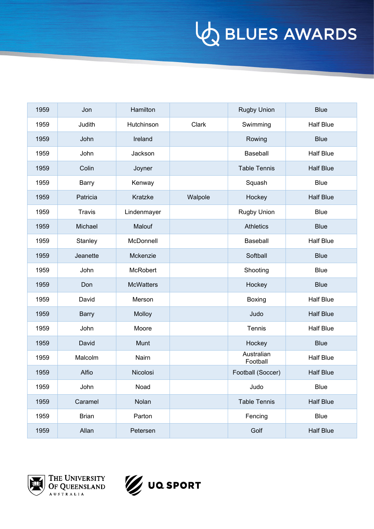| 1959 | Jon           | Hamilton         |         | <b>Rugby Union</b>     | <b>Blue</b>      |
|------|---------------|------------------|---------|------------------------|------------------|
| 1959 | Judith        | Hutchinson       | Clark   | Swimming               | <b>Half Blue</b> |
| 1959 | John          | Ireland          |         | Rowing                 | <b>Blue</b>      |
| 1959 | John          | Jackson          |         | Baseball               | <b>Half Blue</b> |
| 1959 | Colin         | Joyner           |         | <b>Table Tennis</b>    | <b>Half Blue</b> |
| 1959 | Barry         | Kenway           |         | Squash                 | <b>Blue</b>      |
| 1959 | Patricia      | Kratzke          | Walpole | Hockey                 | <b>Half Blue</b> |
| 1959 | <b>Travis</b> | Lindenmayer      |         | <b>Rugby Union</b>     | <b>Blue</b>      |
| 1959 | Michael       | Malouf           |         | <b>Athletics</b>       | <b>Blue</b>      |
| 1959 | Stanley       | McDonnell        |         | Baseball               | <b>Half Blue</b> |
| 1959 | Jeanette      | Mckenzie         |         | Softball               | <b>Blue</b>      |
| 1959 | John          | <b>McRobert</b>  |         | Shooting               | <b>Blue</b>      |
| 1959 | Don           | <b>McWatters</b> |         | Hockey                 | <b>Blue</b>      |
| 1959 | David         | Merson           |         | Boxing                 | <b>Half Blue</b> |
| 1959 | <b>Barry</b>  | Molloy           |         | Judo                   | <b>Half Blue</b> |
| 1959 | John          | Moore            |         | Tennis                 | <b>Half Blue</b> |
| 1959 | David         | Munt             |         | Hockey                 | <b>Blue</b>      |
| 1959 | Malcolm       | Nairn            |         | Australian<br>Football | <b>Half Blue</b> |
| 1959 | Alfio         | Nicolosi         |         | Football (Soccer)      | <b>Half Blue</b> |
| 1959 | John          | Noad             |         | Judo                   | Blue             |
| 1959 | Caramel       | Nolan            |         | <b>Table Tennis</b>    | <b>Half Blue</b> |
| 1959 | <b>Brian</b>  | Parton           |         | Fencing                | Blue             |
| 1959 | Allan         | Petersen         |         | Golf                   | <b>Half Blue</b> |